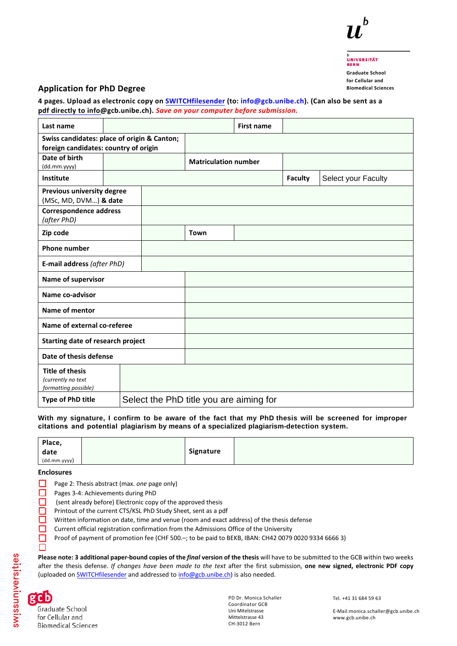

# **UNIVERSITÄT Graduate School**

**for Cellular and Biomedical Sciences**

### **Application for PhD Degree**

**4 pages. [Upload](https://filesender.switch.ch/) as elec[tronic copy on SWITC](mailto:info@gcb.unibe.ch)Hfilesender (to: info@gcb.unibe.ch). (Can also be sent as a pdf directly to info@gcb.unibe.ch).** *Save on your computer before submission.* 

| Last name                                                            |  |                                         | <b>First name</b> |                |                     |
|----------------------------------------------------------------------|--|-----------------------------------------|-------------------|----------------|---------------------|
| Swiss candidates: place of origin & Canton;                          |  |                                         |                   |                |                     |
| foreign candidates: country of origin                                |  |                                         |                   |                |                     |
| Date of birth<br>(dd.mm.yyyy)                                        |  | <b>Matriculation number</b>             |                   |                |                     |
| Institute                                                            |  |                                         |                   | <b>Faculty</b> | Select your Faculty |
| Previous university degree<br>(MSc, MD, DVM) & date                  |  |                                         |                   |                |                     |
| <b>Correspondence address</b><br>(after PhD)                         |  |                                         |                   |                |                     |
| Zip code                                                             |  | <b>Town</b>                             |                   |                |                     |
| <b>Phone number</b>                                                  |  |                                         |                   |                |                     |
| E-mail address (after PhD)                                           |  |                                         |                   |                |                     |
| Name of supervisor                                                   |  |                                         |                   |                |                     |
| Name co-advisor                                                      |  |                                         |                   |                |                     |
| Name of mentor                                                       |  |                                         |                   |                |                     |
| Name of external co-referee                                          |  |                                         |                   |                |                     |
| Starting date of research project                                    |  |                                         |                   |                |                     |
| Date of thesis defense                                               |  |                                         |                   |                |                     |
| <b>Title of thesis</b><br>(currently no text<br>formatting possible) |  |                                         |                   |                |                     |
| Type of PhD title                                                    |  | Select the PhD title you are aiming for |                   |                |                     |

**With my signature, I confirm to be aware of the fact that my PhD thesis will be screened for improper citations and potential plagiarism by means of a specialized plagiarism-detection system.** 

| Place,       |           |  |
|--------------|-----------|--|
| date         | Signature |  |
| (dd.mm.yyyy) |           |  |

**Enclosures**

- ☐ Page 2: Thesis abstract (max. *one* page only)
- □ Pages 3-4: Achievements during PhD
	- (sent already before) Electronic copy of the approved thesis
	- Printout of the current CTS/KSL PhD Study Sheet, sent as a pdf
	- Written information on date, time and venue (ro[om and exact address\) of the thesis defense](http://www.unibe.ch/studies/tools_and_work_aids/overview/cts/index_eng.html)
- □ Current official registration confirmation from the Admissions Office of the University
- ☐ Proof of payment of promotion fee (CHF 500.–; to be paid to BEKB, IBAN: CH42 0079 0020 9334 6666 3)

**Please note: 3 additional paper-bound copies of the** *final* **version of the thesis** will have to be submitted to the GCB within two weeks after the thesis defense. *If changes have been made to the text* after the first submission, **one new signed, electronic PDF copy**  (uploaded on [SWITCHfilesender](https://filesender.switch.ch/) and addressed t[o info@gcb.unibe.ch\)](mailto:info@gcb.unibe.ch) is also needed.



 $\Box$ 

Graduate School for Cellular and **Biomedical Sciences**  PD Dr. Monica Schaller Coordinator GCB Uni Mitelstrasse Mittelstrasse 43 CH-3012 Bern

Tel. +41 31 684 59 63

E-Mail:monica.schaller@gcb.unibe.ch www.gcb.unibe.ch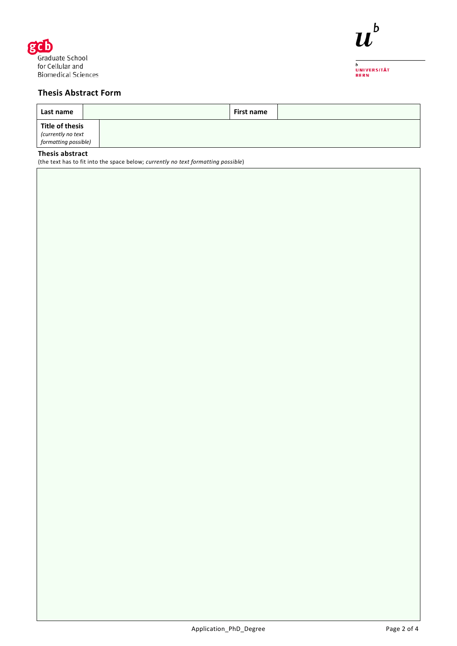



<sub>b</sub><br>Universität<br>Bern

# **Thesis Abstract Form**

| Last name                                                     | First name |  |
|---------------------------------------------------------------|------------|--|
| Title of thesis<br>(currently no text<br>formatting possible) |            |  |

# **Thesis abstract**

(the text has to fit into the space below; *currently no text formatting possible*)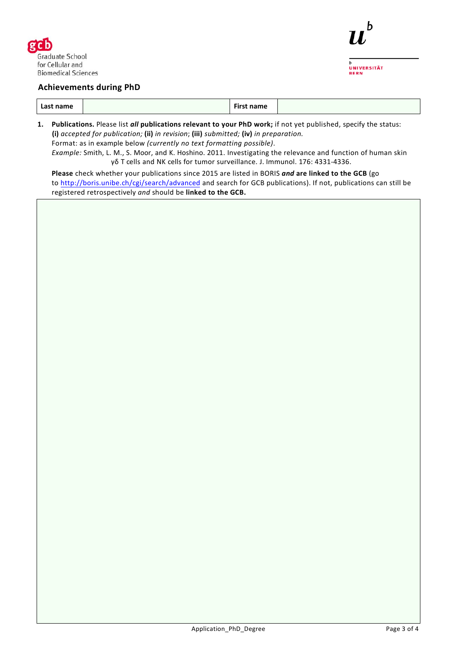

## **Achievements during PhD**

|--|

**1. Publications.** Please list *all* **publications relevant to your PhD work;** if not yet published, specify the status: **(i)** *accepted for publication;* **(ii)** *in revision*; **(iii)** *submitted;* **(iv)** *in preparation.* Format: as in example below *(currently no text formatting possible)*. *Example:* Smith, L. M., S. Moor, and K. Hoshino. 2011. Investigating the relevance and function of human skin

γδ T cells and NK cells for tumor surveillance. J. Immunol. 176: 4331-4336.

**Please** check whether your publications since 2015 are listed in BORIS *and* **are linked to the GCB** (go to<http://boris.unibe.ch/cgi/search/advanced> and search for GCB publications). If not, publications can still be registered retrospectively *and* should be **linked to the GCB.**